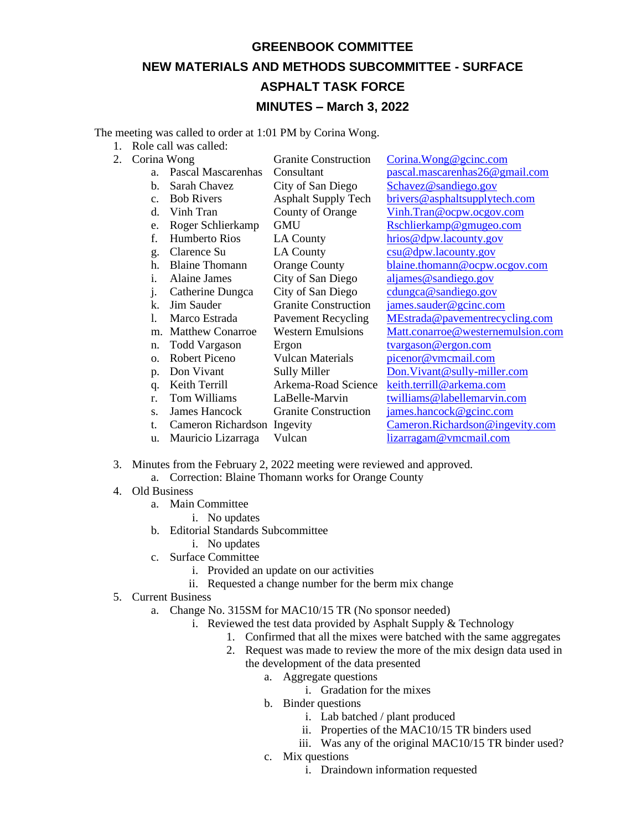## **GREENBOOK COMMITTEE NEW MATERIALS AND METHODS SUBCOMMITTEE - SURFACE ASPHALT TASK FORCE MINUTES – March 3, 2022**

The meeting was called to order at 1:01 PM by Corina Wong.

- 1. Role call was called:
- 2. Corina Wong Granite Construction [Corina.Wong@gcinc.com](mailto:Corina.Wong@gcinc.com)

|              | лнна топд                   | OTamic Consultentii         | $\text{Comna.}$ of ong $\in$ guine. Com |
|--------------|-----------------------------|-----------------------------|-----------------------------------------|
| a.           | Pascal Mascarenhas          | Consultant                  | pascal.mascarenhas26@gmail.com          |
| b.           | Sarah Chavez                | City of San Diego           | Schavez@sandiego.gov                    |
| c.           | <b>Bob Rivers</b>           | <b>Asphalt Supply Tech</b>  | brivers@asphaltsupplytech.com           |
| d.           | Vinh Tran                   | County of Orange            | Vinh.Tran@ocpw.ocgov.com                |
| e.           | Roger Schlierkamp           | <b>GMU</b>                  | Rschlierkamp@gmugeo.com                 |
| f.           | Humberto Rios               | <b>LA County</b>            | hrios@dpw.lacounty.gov                  |
| g.           | Clarence Su                 | <b>LA County</b>            | csu@dpw.lacounty.gov                    |
| h.           | <b>Blaine Thomann</b>       | <b>Orange County</b>        | blaine.thomann@ocpw.ocgov.com           |
| i.           | <b>Alaine James</b>         | City of San Diego           | aljames@sandiego.gov                    |
| $\mathbf{1}$ | Catherine Dungca            | City of San Diego           | cdungca@sandiego.gov                    |
| k.           | Jim Sauder                  | <b>Granite Construction</b> | james.sauder@gcinc.com                  |
| 1.           | Marco Estrada               | <b>Pavement Recycling</b>   | MEstrada@pavementrecycling.com          |
| m.           | <b>Matthew Conarroe</b>     | <b>Western Emulsions</b>    | Matt.conarroe@westernemulsion.com       |
| n.           | <b>Todd Vargason</b>        | Ergon                       | tvargason@ergon.com                     |
| $\Omega$ .   | Robert Piceno               | <b>Vulcan Materials</b>     | picenor@vmcmail.com                     |
| p.           | Don Vivant                  | <b>Sully Miller</b>         | Don. Vivant@sully-miller.com            |
| q.           | Keith Terrill               | Arkema-Road Science         | keith.terrill@arkema.com                |
| r.           | Tom Williams                | LaBelle-Marvin              | twilliams@labellemarvin.com             |
| S.           | James Hancock               | <b>Granite Construction</b> | james.hancock@gcinc.com                 |
| t.           | Cameron Richardson Ingevity |                             | Cameron.Richardson@ingevity.com         |
| u.           | Mauricio Lizarraga          | Vulcan                      | lizarragam@vmcmail.com                  |
|              |                             |                             |                                         |

- 3. Minutes from the February 2, 2022 meeting were reviewed and approved.
	- a. Correction: Blaine Thomann works for Orange County
- 4. Old Business
	- a. Main Committee
		- i. No updates
	- b. Editorial Standards Subcommittee
		- i. No updates
	- c. Surface Committee
		- i. Provided an update on our activities
		- ii. Requested a change number for the berm mix change
- 5. Current Business
	- a. Change No. 315SM for MAC10/15 TR (No sponsor needed)
		- i. Reviewed the test data provided by Asphalt Supply & Technology
			- 1. Confirmed that all the mixes were batched with the same aggregates
			- 2. Request was made to review the more of the mix design data used in the development of the data presented
				- a. Aggregate questions
					- i. Gradation for the mixes
				- b. Binder questions
					- i. Lab batched / plant produced
					- ii. Properties of the MAC10/15 TR binders used
					- iii. Was any of the original MAC10/15 TR binder used?
				- c. Mix questions
					- i. Draindown information requested